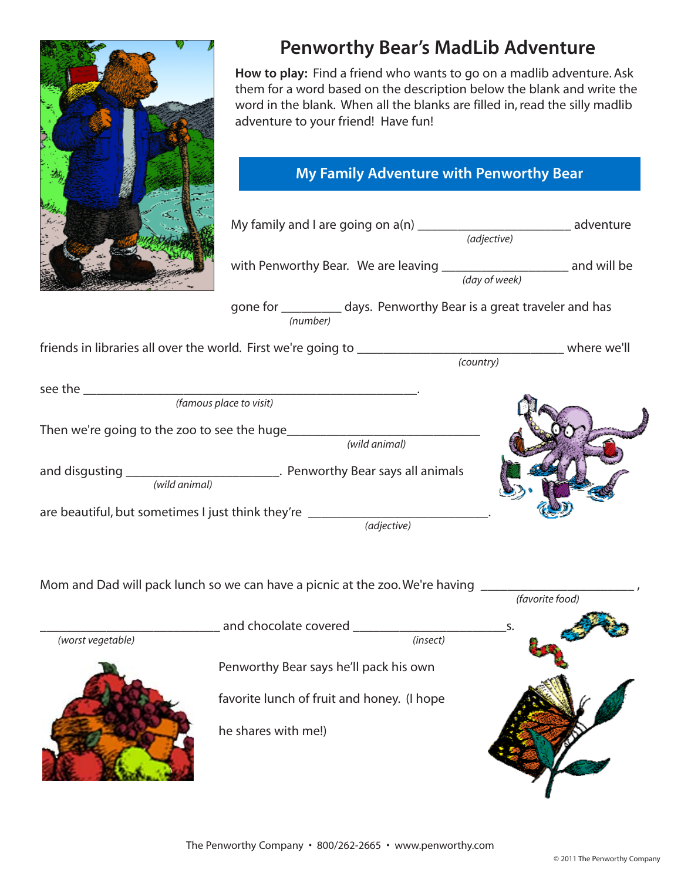

## **Penworthy Bear's MadLib Adventure**

**How to play:** Find a friend who wants to go on a madlib adventure. Ask them for a word based on the description below the blank and write the word in the blank. When all the blanks are filled in, read the silly madlib adventure to your friend! Have fun!

## **My Family Adventure with Penworthy Bear My Family Adventure with Penworthy Bear**

|                                                                   | My family and I are going on a(n) __________________________________ adventure     | (adjective)   |  |
|-------------------------------------------------------------------|------------------------------------------------------------------------------------|---------------|--|
|                                                                   |                                                                                    | (day of week) |  |
|                                                                   | gone for ____________ days. Penworthy Bear is a great traveler and has<br>(number) |               |  |
|                                                                   |                                                                                    | (country)     |  |
|                                                                   | (famous place to visit)                                                            |               |  |
| Then we're going to the zoo to see the huge_________________      | (wild animal)                                                                      |               |  |
| (wild animal)                                                     | and disgusting _______________________________. Penworthy Bear says all animals    |               |  |
| are beautiful, but sometimes I just think they're _______________ | (adjective)                                                                        |               |  |
|                                                                   | Mom and Dad will pack lunch so we can have a picnic at the zoo. We're having _     |               |  |